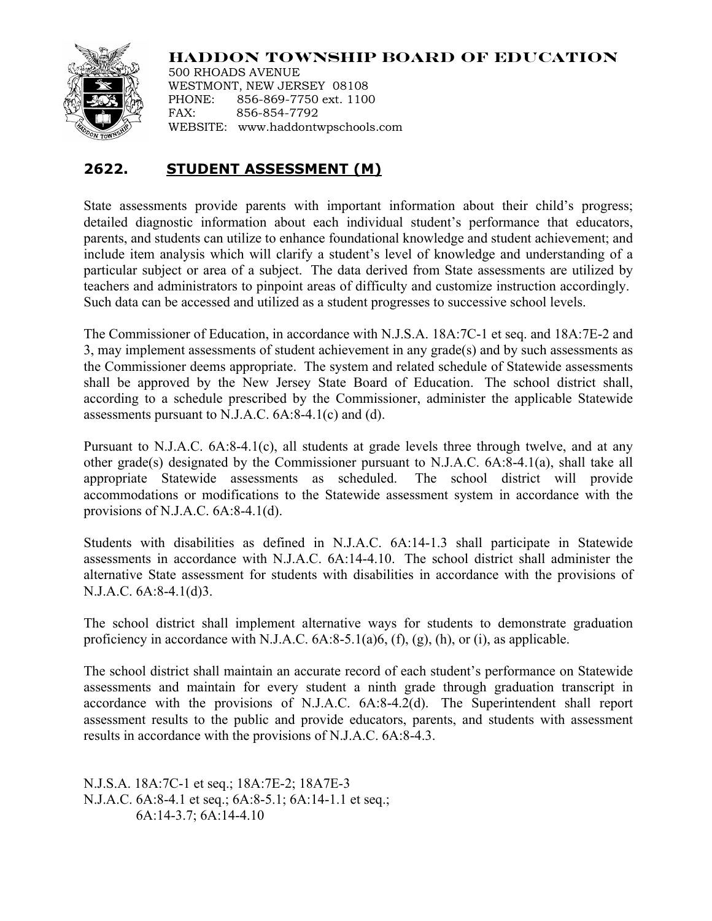

**HADDON TOWNSHIP BOARD OF EDUCATION**

500 RHOADS AVENUE WESTMONT, NEW JERSEY 08108 PHONE: 856-869-7750 ext. 1100 FAX: 856-854-7792 WEBSITE: www.haddontwpschools.com

## **2622. STUDENT ASSESSMENT (M)**

State assessments provide parents with important information about their child's progress; detailed diagnostic information about each individual student's performance that educators, parents, and students can utilize to enhance foundational knowledge and student achievement; and include item analysis which will clarify a student's level of knowledge and understanding of a particular subject or area of a subject. The data derived from State assessments are utilized by teachers and administrators to pinpoint areas of difficulty and customize instruction accordingly. Such data can be accessed and utilized as a student progresses to successive school levels.

The Commissioner of Education, in accordance with N.J.S.A. 18A:7C-1 et seq. and 18A:7E-2 and 3, may implement assessments of student achievement in any grade(s) and by such assessments as the Commissioner deems appropriate. The system and related schedule of Statewide assessments shall be approved by the New Jersey State Board of Education. The school district shall, according to a schedule prescribed by the Commissioner, administer the applicable Statewide assessments pursuant to N.J.A.C. 6A:8-4.1(c) and (d).

Pursuant to N.J.A.C. 6A:8-4.1(c), all students at grade levels three through twelve, and at any other grade(s) designated by the Commissioner pursuant to N.J.A.C. 6A:8-4.1(a), shall take all appropriate Statewide assessments as scheduled. The school district will provide accommodations or modifications to the Statewide assessment system in accordance with the provisions of N.J.A.C. 6A:8-4.1(d).

Students with disabilities as defined in N.J.A.C. 6A:14-1.3 shall participate in Statewide assessments in accordance with N.J.A.C. 6A:14-4.10. The school district shall administer the alternative State assessment for students with disabilities in accordance with the provisions of N.J.A.C. 6A:8-4.1(d)3.

The school district shall implement alternative ways for students to demonstrate graduation proficiency in accordance with N.J.A.C.  $6A:8-5.1(a)6$ ,  $(f)$ ,  $(g)$ ,  $(h)$ , or  $(i)$ , as applicable.

The school district shall maintain an accurate record of each student's performance on Statewide assessments and maintain for every student a ninth grade through graduation transcript in accordance with the provisions of N.J.A.C. 6A:8-4.2(d). The Superintendent shall report assessment results to the public and provide educators, parents, and students with assessment results in accordance with the provisions of N.J.A.C. 6A:8-4.3.

N.J.S.A. 18A:7C-1 et seq.; 18A:7E-2; 18A7E-3 N.J.A.C. 6A:8-4.1 et seq.; 6A:8-5.1; 6A:14-1.1 et seq.; 6A:14-3.7; 6A:14-4.10